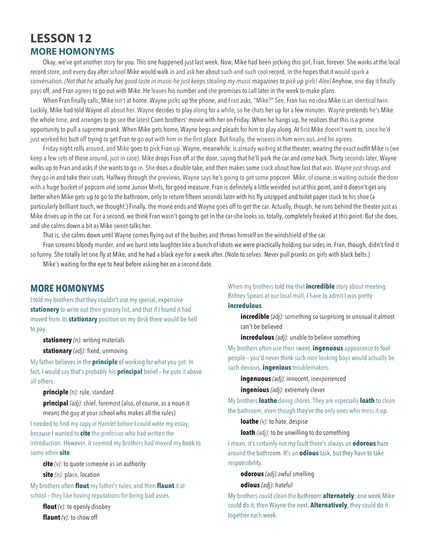## **LESSON 12 MORE HOMONYMS**

Okay, we've got another story for you. This one happened just last week. Now, Mike had been jocking this girl, Fran, forever. She works at the local record store, and every day after school Mike would walk in and ask her about such-and·such cool record, in the hopes that it would spark a conversation. *(Not that he* actually *has good taste in music-he just keeps stealing my music magazines to pick up girls!-Alex)* Anyhow, one day it finally pays off, and Fran agrees to go out with Mike. He leaves his number and she promises to call later in the week to make plans.

When Fran finally calls, Mike isn't at home. Wayne picks up the phone, and Fran asks, "Mike?" See, Fran has no idea Mike is an identical twin. Luckily, Mike had told Wayne all about her. Wayne decides to play along for a while, so he chats her up for a few minutes. Wayne pretends he's Mike the whole time, and arranges to go see the latest Coen brothers' movie with her on Friday. When he hangs up, he realizes that this is a prime opportunity to pull a supreme prank. When Mike gets home, Wayne begs and pleads for him to play along. At first Mike doesn't want to, since he'd just worked his butt off trying to get Fran to go out with him in the first place. But finally, the wiseass in him wins out, and he agrees.

Friday night rolls around, and Mike goes to pick Fran up. Wayne, meanwhile, is already waiting at the theater, wearing the exact outfit Mike is (we keep a few sets of those around, just in case). Mike drops Fran off at the door, saying that he'll park the car and *come* back. Thirty seconds later, Wayne walks up to Fran and asks if she wants to go in. She does a double take, and then makes some crack about how fast that was. Wayne just shrugs and they go in and take their seats. Halfway through the previews, Wayne says he's going to get some popcorn. Mike, of course, is waiting outside the door with a huge bucket of popcorn and some Junior Mints, for good measure. Fran is definitely a little weirded out at this point, and it doesn't get any better when Mike gets up to go to the bathroom, only to return fifteen seconds later with his fly unzipped and toilet paper stuck to his shoe (a particularly brilliant touch, we thought.) Finally, the movie ends and Wayne goes off to get the car. Actually, though, he runs behind the theater just as Mike drives up in the car. For a second, we think Fran wasn't going to get in the car-she looks so, totally, completely freaked at this point. But she does, and she calms down a bit as Mike sweet-talks her.

That is, she calms down until Wayne comes flying out of the bushes and throws himself on the windshield of the car.

Fran screams bloody murder, and we burst into laughter like a bunch of idiots-we were practically holding our sides in. Fran, though, didn't find it so funny. She totally let one fly at Mike, and he had a black eye for a week after. (Note to selves: Never pull pranks on girls with black belts.) Mike's waiting for the eye to heal before asking her on a second date.

## **MORE HOMONYMS**

I told my brothers that they couldn't use my special, expensive **stationery** to write out their grocery list, and that if I found it had moved from its **stationary** position on my desk there would be hell to pay.

**stationery** *(n)*: writing materials

**stationary** *(adj):* fixed, unmoving

My father believes in the **principle** of working for what you get. In fact, I would say that's probably his **principal** belief – he puts it above all others.

## **principle** *(n):* rule, standard

**principal** *(adj):* chief, foremost (also, of course, as a noun it means the guy at your school who makes all the rules)

I needed to find my copy of *Hamlet* before I could write my essay, because I wanted to **cite** the professor who had written the introduction. However, it seemed my brothers had moved my book to some other **site**.

**cite** *(v)*: to quote someone as an authority

**site** *(n):* place, location

My brothers often **flout** my father's rules, and then **flaunt** it *at*  school – they like having reputations for being bad-asses.

**flout** *(v):* to openly disobey **flaunt** *(v):* to show off

When my brothers told me that **incredible** story about meeting Britney Spears at our local mall, I have to admit I was pretty **incredulous**.

**incredible** *(adj):* something so surprising or unusual it almost can't be believed

**incredulous** *(adj):* unable to believe something

My brothers often use their sweet, **ingenuous** appearance to fool people – you'd never think such nice-looking boys would actually be such devious, **ingenious** troublemakers.

**ingenuous** *(adj):* innocent, inexperienced

**ingenious** *(adj):* extremely clever

My brothers **loathe** doing chores. They are especially **loath** to clean the bathroom, even though they're the only ones who mess it up.

**loathe** *(v):* to hate, despise

**loath** *(adj):* to be unwilling to do something

I mean, it's certainly not my fault there's always an **odorous** haze around the bathroom. It's an **odious** task, but they have to take responsibility.

**odorous** *(adj):*awful smelling

**odious** *(adj):* hateful

My brothers could clean the bathroom **alternately**; one week Mike could do it, then Wayne the next. **Alternatively**, they could do it together each week.